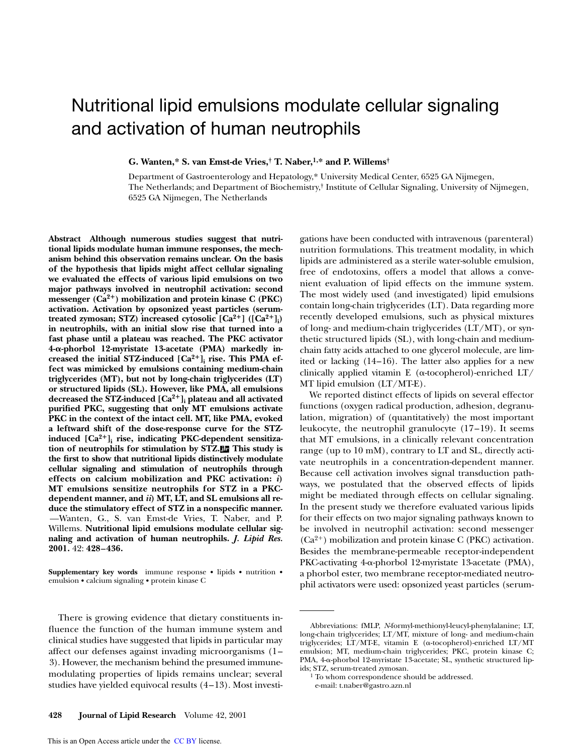# Nutritional lipid emulsions modulate cellular signaling and activation of human neutrophils

**G. Wanten,\* S. van Emst-de Vries,† T. Naber,1,\* and P. Willems†**

Department of Gastroenterology and Hepatology,\* University Medical Center, 6525 GA Nijmegen, The Netherlands; and Department of Biochemistry,† Institute of Cellular Signaling, University of Nijmegen, 6525 GA Nijmegen, The Netherlands

**Abstract Although numerous studies suggest that nutritional lipids modulate human immune responses, the mechanism behind this observation remains unclear. On the basis of the hypothesis that lipids might affect cellular signaling we evaluated the effects of various lipid emulsions on two major pathways involved in neutrophil activation: second** messenger  $(Ca^{2+})$  mobilization and protein kinase  $C$  (PKC) **activation. Activation by opsonized yeast particles (serum**treated zymosan; STZ) increased cytosolic  $[Ca^{2+}]$  ( $[Ca^{2+}]$ <sub>i</sub>) **in neutrophils, with an initial slow rise that turned into a fast phase until a plateau was reached. The PKC activator 4-**a**-phorbol 12-myristate 13-acetate (PMA) markedly in**creased the initial STZ-induced  $[Ca^{2+}]$ <sub>i</sub> rise. This PMA ef**fect was mimicked by emulsions containing medium-chain triglycerides (MT), but not by long-chain triglycerides (LT) or structured lipids (SL). However, like PMA, all emulsions decreased the STZ-induced [Ca2**<sup>1</sup>**]i plateau and all activated purified PKC, suggesting that only MT emulsions activate PKC in the context of the intact cell. MT, like PMA, evoked a leftward shift of the dose-response curve for the STZ**induced  $\left[\text{Ca}^{2+}\right]_{\text{i}}$  rise, indicating PKC-dependent sensitiza**tion of neutrophils for stimulation by STZ. This study is the first to show that nutritional lipids distinctively modulate cellular signaling and stimulation of neutrophils through effects on calcium mobilization and PKC activation:** *i***) MT emulsions sensitize neutrophils for STZ in a PKCdependent manner, and** *ii***) MT, LT, and SL emulsions all reduce the stimulatory effect of STZ in a nonspecific manner.** *—*Wanten, G., S. van Emst-de Vries, T. Naber, and P. Willems. **Nutritional lipid emulsions modulate cellular signaling and activation of human neutrophils.** *J. Lipid Res.* **2001.** 42: **428–436.**

**Supplementary key words** immune response • lipids • nutrition • emulsion • calcium signaling • protein kinase C

There is growing evidence that dietary constituents influence the function of the human immune system and clinical studies have suggested that lipids in particular may affect our defenses against invading microorganisms (1– 3). However, the mechanism behind the presumed immunemodulating properties of lipids remains unclear; several studies have yielded equivocal results (4–13). Most investigations have been conducted with intravenous (parenteral) nutrition formulations. This treatment modality, in which lipids are administered as a sterile water-soluble emulsion, free of endotoxins, offers a model that allows a convenient evaluation of lipid effects on the immune system. The most widely used (and investigated) lipid emulsions contain long-chain triglycerides (LT). Data regarding more recently developed emulsions, such as physical mixtures of long- and medium-chain triglycerides (LT/MT), or synthetic structured lipids (SL), with long-chain and mediumchain fatty acids attached to one glycerol molecule, are limited or lacking (14–16). The latter also applies for a new clinically applied vitamin E ( $\alpha$ -tocopherol)-enriched LT/ MT lipid emulsion (LT/MT-E).

We reported distinct effects of lipids on several effector functions (oxygen radical production, adhesion, degranulation, migration) of (quantitatively) the most important leukocyte, the neutrophil granulocyte (17–19). It seems that MT emulsions, in a clinically relevant concentration range (up to 10 mM), contrary to LT and SL, directly activate neutrophils in a concentration-dependent manner. Because cell activation involves signal transduction pathways, we postulated that the observed effects of lipids might be mediated through effects on cellular signaling. In the present study we therefore evaluated various lipids for their effects on two major signaling pathways known to be involved in neutrophil activation: second messenger  $(Ca^{2+})$  mobilization and protein kinase C (PKC) activation. Besides the membrane-permeable receptor-independent PKC-activating  $4\alpha$ -phorbol 12-myristate 13-acetate (PMA), a phorbol ester, two membrane receptor-mediated neutrophil activators were used: opsonized yeast particles (serum-

e-mail: t.naber@gastro.azn.nl

Abbreviations: fMLP, *N*-formyl-methionyl-leucyl-phenylalanine; LT, long-chain triglycerides; LT/MT, mixture of long- and medium-chain triglycerides; LT/MT-E, vitamin E (a-tocopherol)-enriched LT/MT emulsion; MT, medium-chain triglycerides; PKC, protein kinase C; PMA, 4-a-phorbol 12-myristate 13-acetate; SL, synthetic structured lipids; STZ, serum-treated zymosan.

<sup>&</sup>lt;sup>1</sup> To whom correspondence should be addressed.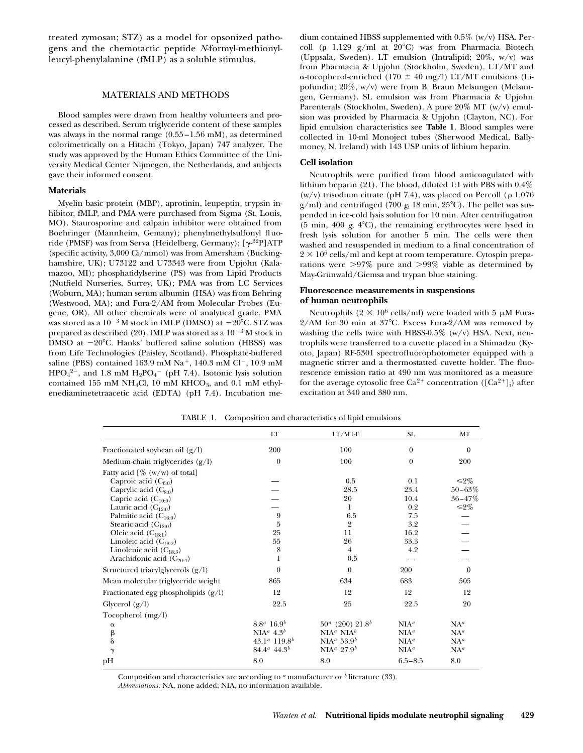treated zymosan; STZ) as a model for opsonized pathogens and the chemotactic peptide *N*-formyl-methionylleucyl-phenylalanine (fMLP) as a soluble stimulus.

#### MATERIALS AND METHODS

Blood samples were drawn from healthy volunteers and processed as described. Serum triglyceride content of these samples was always in the normal range (0.55 –1.56 mM), as determined colorimetrically on a Hitachi (Tokyo, Japan) 747 analyzer. The study was approved by the Human Ethics Committee of the University Medical Center Nijmegen, the Netherlands, and subjects gave their informed consent.

#### **Materials**

Myelin basic protein (MBP), aprotinin, leupeptin, trypsin inhibitor, fMLP, and PMA were purchased from Sigma (St. Louis, MO). Staurosporine and calpain inhibitor were obtained from Boehringer (Mannheim, Gemany); phenylmethylsulfonyl fluoride (PMSF) was from Serva (Heidelberg, Germany); [ $\gamma$ -<sup>32</sup>P]ATP (specific activity, 3,000 Ci/mmol) was from Amersham (Buckinghamshire, UK); U73122 and U73343 were from Upjohn (Kalamazoo, MI); phosphatidylserine (PS) was from Lipid Products (Nutfield Nurseries, Surrey, UK); PMA was from LC Services (Woburn, MA); human serum albumin (HSA) was from Behring (Westwood, MA); and Fura-2/AM from Molecular Probes (Eugene, OR). All other chemicals were of analytical grade. PMA was stored as a  $10^{-3}$  M stock in fMLP (DMSO) at  $-20^{\circ}$ C. STZ was prepared as described (20). fMLP was stored as a  $10^{-3}$  M stock in DMSO at  $-20^{\circ}$ C. Hanks' buffered saline solution (HBSS) was from Life Technologies (Paisley, Scotland). Phosphate-buffered saline (PBS) contained 163.9 mM Na<sup>+</sup>, 140.3 mM Cl<sup>-</sup>, 10.9 mM  $HPO<sub>4</sub><sup>2</sup>$ , and 1.8 mM  $H<sub>2</sub>PO<sub>4</sub><sup>-</sup>$  (pH 7.4). Isotonic lysis solution contained 155 mM NH<sub>4</sub>Cl, 10 mM KHCO<sub>3</sub>, and 0.1 mM ethylenediaminetetraacetic acid (EDTA) (pH 7.4). Incubation medium contained HBSS supplemented with 0.5% (w/v) HSA. Percoll ( $\rho$  1.129 g/ml at 20°C) was from Pharmacia Biotech (Uppsala, Sweden). LT emulsion (Intralipid; 20%, w/v) was from Pharmacia & Upjohn (Stockholm, Sweden). LT/MT and  $\alpha$ -tocopherol-enriched (170  $\pm$  40 mg/l) LT/MT emulsions (Lipofundin; 20%, w/v) were from B. Braun Melsungen (Melsungen, Germany). SL emulsion was from Pharmacia & Upjohn Parenterals (Stockholm, Sweden). A pure 20% MT (w/v) emulsion was provided by Pharmacia & Upjohn (Clayton, NC). For lipid emulsion characteristics see **Table 1**. Blood samples were collected in 10-ml Monoject tubes (Sherwood Medical, Ballymoney, N. Ireland) with 143 USP units of lithium heparin.

#### **Cell isolation**

Neutrophils were purified from blood anticoagulated with lithium heparin (21). The blood, diluted 1:1 with PBS with 0.4% (w/v) trisodium citrate (pH 7.4), was placed on Percoll ( $\rho$  1.076  $g/ml$ ) and centrifuged (700 *g*, 18 min, 25<sup>o</sup>C). The pellet was suspended in ice-cold lysis solution for 10 min. After centrifugation (5 min, 400 *g*, 4°C), the remaining erythrocytes were lysed in fresh lysis solution for another 5 min. The cells were then washed and resuspended in medium to a final concentration of  $2 \times 10^6$  cells/ml and kept at room temperature. Cytospin preparations were  $>97\%$  pure and  $>99\%$  viable as determined by May-Grünwald/Giemsa and trypan blue staining.

#### **Fluorescence measurements in suspensions of human neutrophils**

Neutrophils (2  $\times$  10<sup>6</sup> cells/ml) were loaded with 5  $\mu$ M Fura- $2/AM$  for 30 min at 37°C. Excess Fura- $2/AM$  was removed by washing the cells twice with HBSS-0.5%  $(w/v)$  HSA. Next, neutrophils were transferred to a cuvette placed in a Shimadzu (Kyoto, Japan) RF-5301 spectrofluorophotometer equipped with a magnetic stirrer and a thermostatted cuvette holder. The fluorescence emission ratio at 490 nm was monitored as a measure for the average cytosolic free  $Ca^{2+}$  concentration  $([Ca^{2+}]_i)$  after excitation at 340 and 380 nm.

| LT                                | $LT/MT-E$                          | SL                                 | MT             |
|-----------------------------------|------------------------------------|------------------------------------|----------------|
| 200                               | 100                                | $\Omega$                           | $\overline{0}$ |
| $\overline{0}$                    | 100                                | $\overline{0}$                     | 200            |
|                                   |                                    |                                    |                |
|                                   | 0.5                                | 0.1                                | $\leq 2\%$     |
|                                   | 28.5                               | 23.4                               | $50 - 63%$     |
|                                   | 20                                 | 10.4                               | $36 - 47%$     |
|                                   | 1                                  | 0.2                                | $\leq 2\%$     |
| 9                                 | 6.5                                | 7.5                                |                |
| 5                                 | $\overline{2}$                     | 3.2                                |                |
| 25                                | 11                                 | 16.2                               |                |
| 55                                | 26                                 | 33.3                               |                |
| 8                                 | $\overline{4}$                     | 4.2                                |                |
| 1                                 | 0.5                                |                                    |                |
| $\Omega$                          | $\theta$                           | 200                                | $\theta$       |
| 865                               | 634                                | 683                                | 505            |
| 12                                | 12                                 | 12                                 | 12             |
| 22.5                              | 25                                 | 22.5                               | 20             |
|                                   |                                    |                                    |                |
| $8.8^a 16.9^b$                    | $50^a$ (200) $21.8^b$              | NIA <sup>a</sup>                   | $NA^a$         |
| NIA <sup>a</sup> 4.3 <sup>b</sup> | NIA <sup>a</sup> NIA <sup>b</sup>  | NIA <sup>a</sup>                   | $NA^a$         |
| $43.1^a$ 119.8 <sup>b</sup>       |                                    | NIA <sup>a</sup>                   | $NA^a$         |
| $84.4^a$ 44.3 <sup>b</sup>        | NIA <sup>a</sup> 27.9 <sup>b</sup> | NIA <sup>a</sup>                   | $NA^a$         |
| 8.0                               | 8.0                                | $6.5 - 8.5$                        | 8.0            |
|                                   |                                    | NIA <sup>a</sup> 53.9 <sup>b</sup> |                |

TABLE 1. Composition and characteristics of lipid emulsions

Composition and characteristics are according to *<sup>a</sup>* manufacturer or *<sup>b</sup>* literature (33).

*Abbreviations:* NA, none added; NIA, no information available.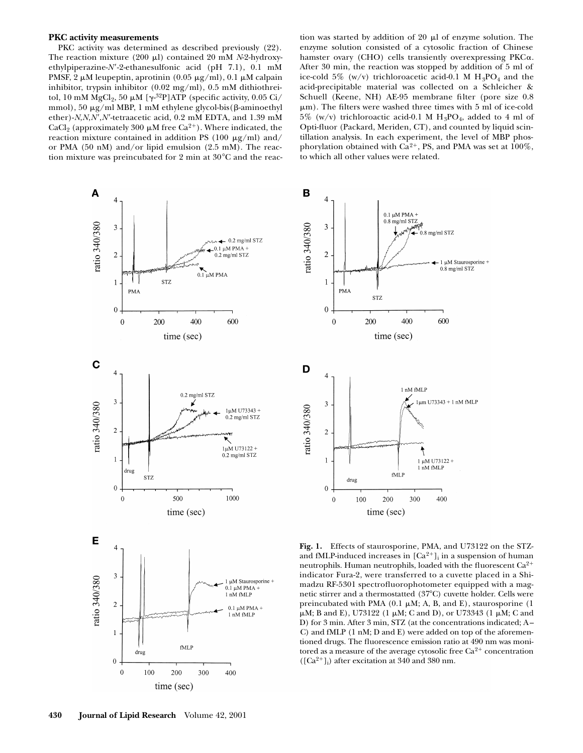#### **PKC activity measurements**

PKC activity was determined as described previously (22). The reaction mixture (200  $\mu$ l) contained 20 mM *N*-2-hydroxyethylpiperazine-*N'*-2-ethanesulfonic acid (pH 7.1), 0.1 mM PMSF, 2  $\mu$ M leupeptin, aprotinin (0.05  $\mu$ g/ml), 0.1  $\mu$ M calpain inhibitor, trypsin inhibitor (0.02 mg/ml), 0.5 mM dithiothreitol, 10 mM  $\text{MgCl}_2$ , 50  $\mu$ M [ $\gamma$ <sup>-32</sup>P]ATP (specific activity, 0.05 Ci/ mmol), 50  $\mu$ g/ml MBP, 1 mM ethylene glycol-bis( $\beta$ -aminoethyl ether)- $N$ , $N$ , $N'$ , $N'$ -tetraacetic acid, 0.2 mM EDTA, and 1.39 mM CaCl<sub>2</sub> (approximately 300  $\mu$ M free Ca<sup>2+</sup>). Where indicated, the reaction mixture contained in addition PS (100  $\mu$ g/ml) and/ or PMA (50 nM) and/or lipid emulsion (2.5 mM). The reaction mixture was preincubated for 2 min at  $30^{\circ}$ C and the reaction was started by addition of  $20 \mu l$  of enzyme solution. The enzyme solution consisted of a cytosolic fraction of Chinese hamster ovary (CHO) cells transiently overexpressing PKCa. After 30 min, the reaction was stopped by addition of 5 ml of ice-cold 5% (w/v) trichloroacetic acid-0.1 M  $H_3PO_4$  and the acid-precipitable material was collected on a Schleicher & Schuell (Keene, NH) AE-95 membrane filter (pore size 0.8  $\mu$ m). The filters were washed three times with 5 ml of ice-cold  $5\%$  (w/v) trichloroactic acid-0.1 M H<sub>3</sub>PO<sub>4</sub>, added to 4 ml of Opti-fluor (Packard, Meriden, CT), and counted by liquid scintillation analysis. In each experiment, the level of MBP phosphorylation obtained with  $Ca^{2+}$ , PS, and PMA was set at 100%, to which all other values were related.





**Fig. 1.** Effects of staurosporine, PMA, and U73122 on the STZand fMLP-induced increases in  $[Ca^{2+}]$ <sub>i</sub> in a suspension of human neutrophils. Human neutrophils, loaded with the fluorescent Ca<sup>2+</sup> indicator Fura-2, were transferred to a cuvette placed in a Shimadzu RF-5301 spectrofluorophotometer equipped with a magnetic stirrer and a thermostatted (37°C) cuvette holder. Cells were preincubated with PMA (0.1  $\mu$ M; A, B, and E), staurosporine (1  $\mu$ M; B and E), U73122 (1  $\mu$ M; C and D), or U73343 (1  $\mu$ M; C and D) for 3 min. After 3 min, STZ (at the concentrations indicated; A – C) and fMLP (1 nM; D and E) were added on top of the aforementioned drugs. The fluorescence emission ratio at 490 nm was monitored as a measure of the average cytosolic free  ${\rm Ca^{2+}}$  concentration  $([Ca<sup>2+</sup>]$ <sub>i</sub>) after excitation at 340 and 380 nm.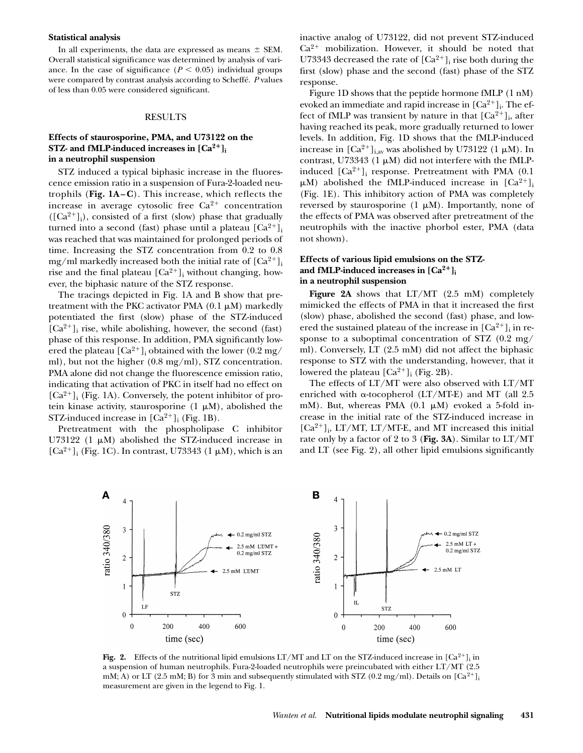#### **Statistical analysis**

In all experiments, the data are expressed as means  $\pm$  SEM. Overall statistical significance was determined by analysis of variance. In the case of significance  $(P < 0.05)$  individual groups were compared by contrast analysis according to Scheffé. *P* values of less than 0.05 were considered significant.

#### RESULTS

## **Effects of staurosporine, PMA, and U73122 on the STZ- and fMLP-induced increases in**  $[Ca^{2+}]$ **in a neutrophil suspension**

STZ induced a typical biphasic increase in the fluorescence emission ratio in a suspension of Fura-2-loaded neutrophils (**Fig. 1A–C**). This increase, which reflects the increase in average cytosolic free  $Ca^{2+}$  concentration  $([Ca<sup>2+</sup>]$ <sub>i</sub>), consisted of a first (slow) phase that gradually turned into a second (fast) phase until a plateau  $\lceil Ca^{2+} \rceil$ was reached that was maintained for prolonged periods of time. Increasing the STZ concentration from 0.2 to 0.8 mg/ml markedly increased both the initial rate of  $[Ca^{2+}]$ <sub>i</sub> rise and the final plateau  $\lbrack Ca^{2+}\rbrack _i$  without changing, however, the biphasic nature of the STZ response.

The tracings depicted in Fig. 1A and B show that pretreatment with the PKC activator PMA  $(0.1 \mu M)$  markedly potentiated the first (slow) phase of the STZ-induced  $[Ca^{2+}]$ <sub>i</sub> rise, while abolishing, however, the second (fast) phase of this response. In addition, PMA significantly lowered the plateau  $\left[{\rm Ca^{2+}}\right]_{\rm i}$  obtained with the lower  $\left(0.2\ {\rm mg}/\right)$ ml), but not the higher (0.8 mg/ml), STZ concentration. PMA alone did not change the fluorescence emission ratio, indicating that activation of PKC in itself had no effect on  $[Ca^{2+}]$ <sub>i</sub> (Fig. 1A). Conversely, the potent inhibitor of protein kinase activity, staurosporine  $(1 \mu M)$ , abolished the STZ-induced increase in  $[Ca^{2+}]_i$  (Fig. 1B).

Pretreatment with the phospholipase C inhibitor U73122 (1  $\mu$ M) abolished the STZ-induced increase in [ $Ca^{2+}$ ]<sub>i</sub> (Fig. 1C). In contrast, U73343 (1  $\mu$ M), which is an

inactive analog of U73122, did not prevent STZ-induced  $Ca^{2+}$  mobilization. However, it should be noted that U73343 decreased the rate of  $[Ca^{2+}]$ <sub>i</sub> rise both during the first (slow) phase and the second (fast) phase of the STZ response.

Figure 1D shows that the peptide hormone fMLP (1 nM) evoked an immediate and rapid increase in  $[Ca^{2+}]_i$ . The effect of fMLP was transient by nature in that  $[Ca^{2+}]_i$ , after having reached its peak, more gradually returned to lower levels. In addition, Fig. 1D shows that the fMLP-induced increase in  $\left[Ca^{2+}\right]_{i,av}$  was abolished by U73122 (1  $\mu$ M). In contrast, U73343 (1  $\mu$ M) did not interfere with the fMLPinduced  $[Ca^{2+}]$ <sub>i</sub> response. Pretreatment with PMA (0.1)  $\mu$ M) abolished the fMLP-induced increase in  $\left[Ca^{2+}\right]$ <sub>i</sub> (Fig. 1E). This inhibitory action of PMA was completely reversed by staurosporine  $(1 \mu M)$ . Importantly, none of the effects of PMA was observed after pretreatment of the neutrophils with the inactive phorbol ester, PMA (data not shown).

## **Effects of various lipid emulsions on the STZ**and fMLP-induced increases in  $[Ca^{2+}]$ **in a neutrophil suspension**

**Figure 2A** shows that LT/MT (2.5 mM) completely mimicked the effects of PMA in that it increased the first (slow) phase, abolished the second (fast) phase, and lowered the sustained plateau of the increase in  $\lbrack Ca^{2+}\rbrack _i$  in response to a suboptimal concentration of STZ (0.2 mg/ ml). Conversely, LT (2.5 mM) did not affect the biphasic response to STZ with the understanding, however, that it lowered the plateau  $\lbrack Ca^{2+}\rbrack _i$  (Fig. 2B).

The effects of LT/MT were also observed with LT/MT enriched with  $\alpha$ -tocopherol (LT/MT-E) and MT (all 2.5 mM). But, whereas PMA  $(0.1 \mu M)$  evoked a 5-fold increase in the initial rate of the STZ-induced increase in  $[Ca^{2+}]$ <sub>i</sub>, LT/MT, LT/MT-E, and MT increased this initial rate only by a factor of 2 to 3 (**Fig. 3A**). Similar to LT/MT and LT (see Fig. 2), all other lipid emulsions significantly



**Fig. 2.** Effects of the nutritional lipid emulsions  $LT/MT$  and  $LT$  on the STZ-induced increase in  $[Ca^{2+}]_i$  in a suspension of human neutrophils. Fura-2-loaded neutrophils were preincubated with either LT/MT (2.5 mM; A) or LT (2.5 mM; B) for 3 min and subsequently stimulated with STZ (0.2 mg/ml). Details on  $[Ca^{2+}]$ <sub>i</sub> measurement are given in the legend to Fig. 1.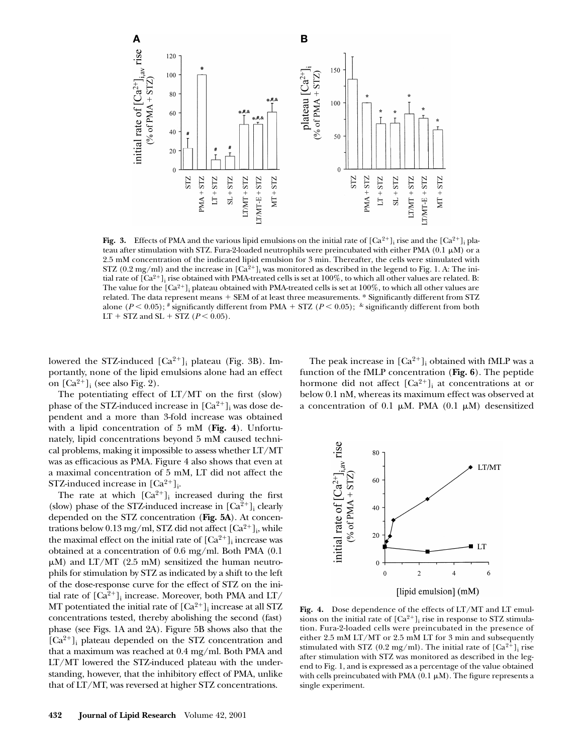

**Fig. 3.** Effects of PMA and the various lipid emulsions on the initial rate of  $[Ca^{2+}]_i$  rise and the  $[Ca^{2+}]_i$  plateau after stimulation with STZ. Fura-2-loaded neutrophils were preincubated with either PMA (0.1  $\mu$ M) or a 2.5 mM concentration of the indicated lipid emulsion for 3 min. Thereafter, the cells were stimulated with STZ (0.2 mg/ml) and the increase in  $[Ca^{2+}]_i$  was monitored as described in the legend to Fig. 1. A: The initial rate of [Ca<sup>2+</sup>]<sub>i</sub> rise obtained with PMA-treated cells is set at 100%, to which all other values are related. B: The value for the  $\rm [Ca^{2+}]_{i}$  plateau obtained with PMA-treated cells is set at  $100\%$ , to which all other values are related. The data represent means + SEM of at least three measurements. \* Significantly different from STZ alone  $(P < 0.05)$ ; # significantly different from PMA + STZ  $(P < 0.05)$ ; & significantly different from both LT + STZ and SL + STZ ( $P < 0.05$ ).

lowered the STZ-induced  $[Ca^{2+}]_i$  plateau (Fig. 3B). Importantly, none of the lipid emulsions alone had an effect on  $[Ca^{2+}]_i$  (see also Fig. 2).

The potentiating effect of  $LT/MT$  on the first (slow) phase of the STZ-induced increase in  $[Ca^{2+}]$ <sub>i</sub> was dose dependent and a more than 3-fold increase was obtained with a lipid concentration of 5 mM (**Fig. 4**). Unfortunately, lipid concentrations beyond 5 mM caused technical problems, making it impossible to assess whether LT/MT was as efficacious as PMA. Figure 4 also shows that even at a maximal concentration of 5 mM, LT did not affect the STZ-induced increase in  $[Ca^{2+}]_i$ .

The rate at which  $[Ca^{2+}]_i$  increased during the first (slow) phase of the STZ-induced increase in  $[Ca^{2+}]$ <sub>i</sub> clearly depended on the STZ concentration (**Fig. 5A**). At concentrations below 0.13 mg/ml, STZ did not affect  $\lbrack Ca^{2+}\rbrack _i$ , while the maximal effect on the initial rate of  $[Ca^{2+}]_i$  increase was obtained at a concentration of 0.6 mg/ml. Both PMA (0.1  $\mu$ M) and LT/MT (2.5 mM) sensitized the human neutrophils for stimulation by STZ as indicated by a shift to the left of the dose-response curve for the effect of STZ on the initial rate of  $\left[Ca^{2+}\right]_i$  increase. Moreover, both PMA and LT/ MT potentiated the initial rate of  $\left[{\rm Ca^{2+}}\right]_i$  increase at all STZ concentrations tested, thereby abolishing the second (fast) phase (see Figs. 1A and 2A). Figure 5B shows also that the  $[Ca^{2+}]$ <sub>i</sub> plateau depended on the STZ concentration and that a maximum was reached at 0.4 mg/ml. Both PMA and LT/MT lowered the STZ-induced plateau with the understanding, however, that the inhibitory effect of PMA, unlike that of LT/MT, was reversed at higher STZ concentrations.

The peak increase in  $[Ca^{2+}]_i$  obtained with fMLP was a function of the fMLP concentration (**Fig. 6**). The peptide hormone did not affect  $\left[Ca^{2+}\right]_i$  at concentrations at or below 0.1 nM, whereas its maximum effect was observed at a concentration of 0.1  $\mu$ M. PMA (0.1  $\mu$ M) desensitized



**Fig. 4.** Dose dependence of the effects of LT/MT and LT emulsions on the initial rate of  $[Ca^{2+}]$ <sub>i</sub> rise in response to STZ stimulation. Fura-2-loaded cells were preincubated in the presence of either 2.5 mM LT/MT or 2.5 mM LT for 3 min and subsequently stimulated with STZ (0.2 mg/ml). The initial rate of  $[Ca^{2+}]$ <sub>i</sub> rise after stimulation with STZ was monitored as described in the legend to Fig. 1, and is expressed as a percentage of the value obtained with cells preincubated with PMA  $(0.1 \mu M)$ . The figure represents a single experiment.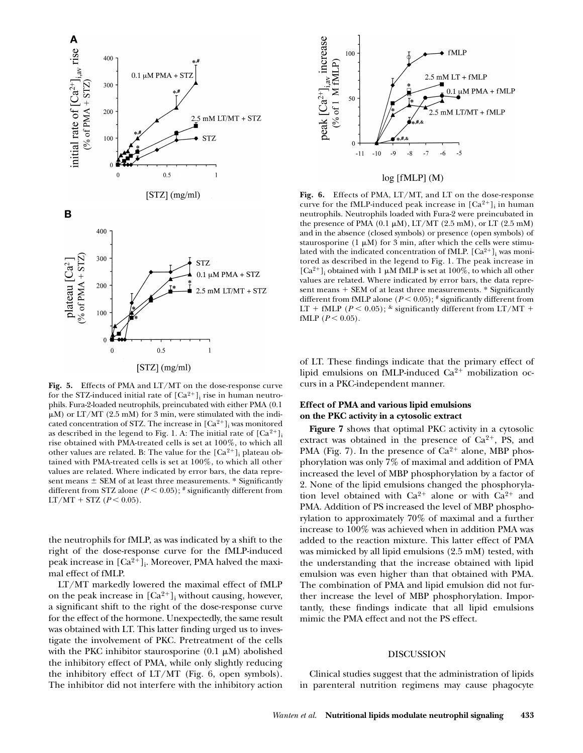

**Fig. 5.** Effects of PMA and LT/MT on the dose-response curve for the STZ-induced initial rate of  $[Ca^{2+}]$ <sub>i</sub> rise in human neutrophils. Fura-2-loaded neutrophils, preincubated with either PMA (0.1  $\mu$ M) or LT/MT (2.5 mM) for 3 min, were stimulated with the indicated concentration of STZ. The increase in  $[Ca^{2+}]$ <sub>i</sub> was monitored as described in the legend to Fig. 1. A: The initial rate of  $[Ca^{2+}]$ <sub>i</sub> rise obtained with PMA-treated cells is set at 100%, to which all other values are related. B: The value for the  $[Ca^{2+}]$ <sub>i</sub> plateau obtained with PMA-treated cells is set at 100%, to which all other values are related. Where indicated by error bars, the data represent means  $\pm$  SEM of at least three measurements.  $*$  Significantly different from STZ alone ( $P < 0.05$ );  $*$  significantly different from  $LT/MT + STZ (P < 0.05)$ .

the neutrophils for fMLP, as was indicated by a shift to the right of the dose-response curve for the fMLP-induced peak increase in  $\left[{\rm Ca^{2+}}\right]_{\rm i}$ . Moreover, PMA halved the maximal effect of fMLP.

LT/MT markedly lowered the maximal effect of fMLP on the peak increase in  $[Ca^{2+}]$ <sub>i</sub> without causing, however, a significant shift to the right of the dose-response curve for the effect of the hormone. Unexpectedly, the same result was obtained with LT. This latter finding urged us to investigate the involvement of PKC. Pretreatment of the cells with the PKC inhibitor staurosporine  $(0.1 \mu M)$  abolished the inhibitory effect of PMA, while only slightly reducing the inhibitory effect of LT/MT (Fig. 6, open symbols). The inhibitor did not interfere with the inhibitory action



## log [fMLP] (M)

**Fig. 6.** Effects of PMA, LT/MT, and LT on the dose-response curve for the fMLP-induced peak increase in  $[Ca^{2+}]_i$  in human neutrophils. Neutrophils loaded with Fura-2 were preincubated in the presence of PMA  $(0.1 \mu M)$ , LT/MT  $(2.5 \text{ mM})$ , or LT  $(2.5 \text{ mM})$ and in the absence (closed symbols) or presence (open symbols) of staurosporine (1  $\mu$ M) for 3 min, after which the cells were stimulated with the indicated concentration of fMLP.  $\left[{\rm Ca^{2+}}\right]_{{\rm i}}$  was monitored as described in the legend to Fig. 1. The peak increase in  $[Ca^{2+}]$ <sub>i</sub> obtained with 1  $\mu$ M fMLP is set at 100%, to which all other values are related. Where indicated by error bars, the data represent means  $+$  SEM of at least three measurements.  $*$  Significantly different from fMLP alone ( $P$  < 0.05);  $*$  significantly different from LT + fMLP ( $P < 0.05$ );  $\&$  significantly different from LT/MT + fMLP  $(P < 0.05)$ .

of LT. These findings indicate that the primary effect of lipid emulsions on fMLP-induced  $Ca^{2+}$  mobilization occurs in a PKC-independent manner.

# **Effect of PMA and various lipid emulsions on the PKC activity in a cytosolic extract**

**Figure 7** shows that optimal PKC activity in a cytosolic extract was obtained in the presence of  $Ca^{2+}$ , PS, and PMA (Fig. 7). In the presence of  $Ca^{2+}$  alone, MBP phosphorylation was only 7% of maximal and addition of PMA increased the level of MBP phosphorylation by a factor of 2. None of the lipid emulsions changed the phosphorylation level obtained with  $Ca^{2+}$  alone or with  $Ca^{2+}$  and PMA. Addition of PS increased the level of MBP phosphorylation to approximately 70% of maximal and a further increase to 100% was achieved when in addition PMA was added to the reaction mixture. This latter effect of PMA was mimicked by all lipid emulsions (2.5 mM) tested, with the understanding that the increase obtained with lipid emulsion was even higher than that obtained with PMA. The combination of PMA and lipid emulsion did not further increase the level of MBP phosphorylation. Importantly, these findings indicate that all lipid emulsions mimic the PMA effect and not the PS effect.

#### DISCUSSION

Clinical studies suggest that the administration of lipids in parenteral nutrition regimens may cause phagocyte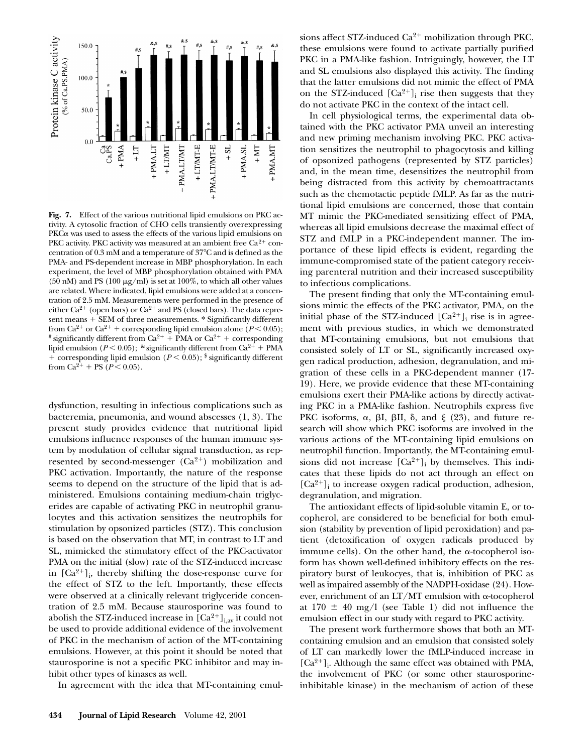

**Fig. 7.** Effect of the various nutritional lipid emulsions on PKC activity. A cytosolic fraction of CHO cells transiently overexpressing PKC $\alpha$  was used to assess the effects of the various lipid emulsions on PKC activity. PKC activity was measured at an ambient free  $Ca^{2+}$  concentration of  $0.3 \text{ mM}$  and a temperature of  $37^{\circ}$ C and is defined as the PMA- and PS-dependent increase in MBP phosphorylation. In each experiment, the level of MBP phosphorylation obtained with PMA (50 nM) and PS (100  $\mu$ g/ml) is set at 100%, to which all other values are related. Where indicated, lipid emulsions were added at a concentration of 2.5 mM. Measurements were performed in the presence of either Ca<sup>2+</sup> (open bars) or Ca<sup>2+</sup> and PS (closed bars). The data represent means + SEM of three measurements. \* Significantly different from Ca<sup>2+</sup> or Ca<sup>2+</sup> + corresponding lipid emulsion alone ( $P$  < 0.05); <sup>#</sup> significantly different from Ca<sup>2+</sup> + PMA or Ca<sup>2+</sup> + corresponding lipid emulsion ( $P < 0.05$ );  $\kappa$  significantly different from Ca<sup>2+</sup> + PMA + corresponding lipid emulsion ( $P$  < 0.05);  $\frac{1}{2}$  significantly different from Ca<sup>2+</sup> + PS ( $P < 0.05$ ).

dysfunction, resulting in infectious complications such as bacteremia, pneumonia, and wound abscesses (1, 3). The present study provides evidence that nutritional lipid emulsions influence responses of the human immune system by modulation of cellular signal transduction, as represented by second-messenger  $(Ca^{2+})$  mobilization and PKC activation. Importantly, the nature of the response seems to depend on the structure of the lipid that is administered. Emulsions containing medium-chain triglycerides are capable of activating PKC in neutrophil granulocytes and this activation sensitizes the neutrophils for stimulation by opsonized particles (STZ). This conclusion is based on the observation that MT, in contrast to LT and SL, mimicked the stimulatory effect of the PKC-activator PMA on the initial (slow) rate of the STZ-induced increase in  $[Ca^{2+}]$ <sub>i</sub>, thereby shifting the dose-response curve for the effect of STZ to the left. Importantly, these effects were observed at a clinically relevant triglyceride concentration of 2.5 mM. Because staurosporine was found to abolish the STZ-induced increase in  $\left[Ca^{2+}\right]_{i,av}$  it could not be used to provide additional evidence of the involvement of PKC in the mechanism of action of the MT-containing emulsions. However, at this point it should be noted that staurosporine is not a specific PKC inhibitor and may inhibit other types of kinases as well.

In agreement with the idea that MT-containing emul-

sions affect STZ-induced  $Ca^{2+}$  mobilization through PKC, these emulsions were found to activate partially purified PKC in a PMA-like fashion. Intriguingly, however, the LT and SL emulsions also displayed this activity. The finding that the latter emulsions did not mimic the effect of PMA on the STZ-induced  $[Ca^{2+}]_i$  rise then suggests that they do not activate PKC in the context of the intact cell.

In cell physiological terms, the experimental data obtained with the PKC activator PMA unveil an interesting and new priming mechanism involving PKC. PKC activation sensitizes the neutrophil to phagocytosis and killing of opsonized pathogens (represented by STZ particles) and, in the mean time, desensitizes the neutrophil from being distracted from this activity by chemoattractants such as the chemotactic peptide fMLP. As far as the nutritional lipid emulsions are concerned, those that contain MT mimic the PKC-mediated sensitizing effect of PMA, whereas all lipid emulsions decrease the maximal effect of STZ and fMLP in a PKC-independent manner. The importance of these lipid effects is evident, regarding the immune-compromised state of the patient category receiving parenteral nutrition and their increased susceptibility to infectious complications.

The present finding that only the MT-containing emulsions mimic the effects of the PKC activator, PMA, on the initial phase of the STZ-induced  $[Ca^{2+}]$ <sub>i</sub> rise is in agreement with previous studies, in which we demonstrated that MT-containing emulsions, but not emulsions that consisted solely of LT or SL, significantly increased oxygen radical production, adhesion, degranulation, and migration of these cells in a PKC-dependent manner (17- 19). Here, we provide evidence that these MT-containing emulsions exert their PMA-like actions by directly activating PKC in a PMA-like fashion. Neutrophils express five PKC isoforms,  $\alpha$ ,  $\beta I$ ,  $\beta II$ ,  $\delta$ , and  $\xi$  (23), and future research will show which PKC isoforms are involved in the various actions of the MT-containing lipid emulsions on neutrophil function. Importantly, the MT-containing emulsions did not increase  $[Ca^{2+}]_i$  by themselves. This indicates that these lipids do not act through an effect on  $[Ca^{2+}]$ <sub>i</sub> to increase oxygen radical production, adhesion, degranulation, and migration.

The antioxidant effects of lipid-soluble vitamin E, or tocopherol, are considered to be beneficial for both emulsion (stability by prevention of lipid peroxidation) and patient (detoxification of oxygen radicals produced by immune cells). On the other hand, the  $\alpha$ -tocopherol isoform has shown well-defined inhibitory effects on the respiratory burst of leukocyes, that is, inhibition of PKC as well as impaired assembly of the NADPH-oxidase (24). However, enrichment of an LT/MT emulsion with a-tocopherol at  $170 \pm 40$  mg/l (see Table 1) did not influence the emulsion effect in our study with regard to PKC activity.

The present work furthermore shows that both an MTcontaining emulsion and an emulsion that consisted solely of LT can markedly lower the fMLP-induced increase in  $[Ca^{2+}]$ <sub>i</sub>. Although the same effect was obtained with PMA, the involvement of PKC (or some other staurosporineinhibitable kinase) in the mechanism of action of these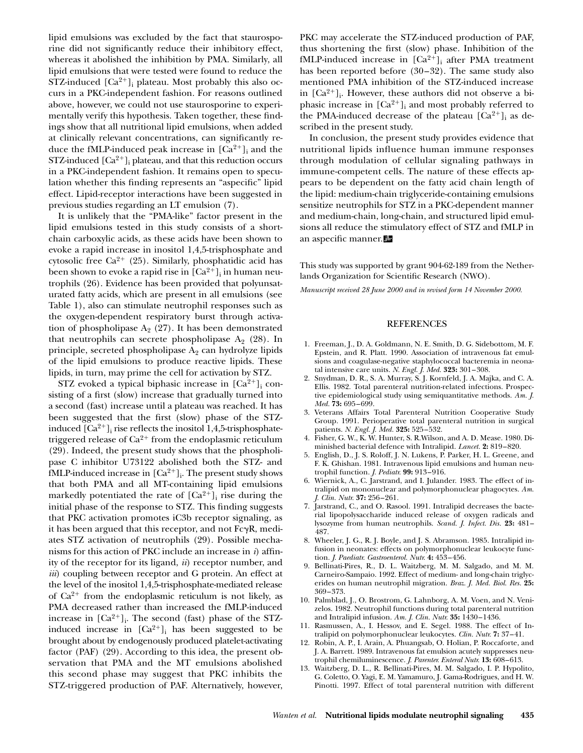lipid emulsions was excluded by the fact that staurosporine did not significantly reduce their inhibitory effect, whereas it abolished the inhibition by PMA. Similarly, all lipid emulsions that were tested were found to reduce the STZ-induced  $[Ca^{2+}]_i$  plateau. Most probably this also occurs in a PKC-independent fashion. For reasons outlined above, however, we could not use staurosporine to experimentally verify this hypothesis. Taken together, these findings show that all nutritional lipid emulsions, when added at clinically relevant concentrations, can significantly reduce the fMLP-induced peak increase in  $[Ca^{2+}]_i$  and the  $STZ$ -induced  $\lbrack Ca^{2+}\rbrack _i$  plateau, and that this reduction occurs in a PKC-independent fashion. It remains open to speculation whether this finding represents an "aspecific" lipid effect. Lipid-receptor interactions have been suggested in previous studies regarding an LT emulsion (7).

It is unlikely that the "PMA-like" factor present in the lipid emulsions tested in this study consists of a shortchain carboxylic acids, as these acids have been shown to evoke a rapid increase in inositol 1,4,5-trisphosphate and cytosolic free  $Ca^{2+}$  (25). Similarly, phosphatidic acid has been shown to evoke a rapid rise in  $\left[{\rm Ca^{2+}}\right]_{{\rm i}}$  in human neutrophils (26). Evidence has been provided that polyunsaturated fatty acids, which are present in all emulsions (see Table 1), also can stimulate neutrophil responses such as the oxygen-dependent respiratory burst through activation of phospholipase  $A_2$  (27). It has been demonstrated that neutrophils can secrete phospholipase  $A_2$  (28). In principle, secreted phospholipase  $A_2$  can hydrolyze lipids of the lipid emulsions to produce reactive lipids. These lipids, in turn, may prime the cell for activation by STZ.

STZ evoked a typical biphasic increase in  $[\text{Ca}^{2+}]_i$  consisting of a first (slow) increase that gradually turned into a second (fast) increase until a plateau was reached. It has been suggested that the first (slow) phase of the STZinduced  $[Ca^{2+}]_i$  rise reflects the inositol 1,4,5-trisphosphatetriggered release of  $Ca^{2+}$  from the endoplasmic reticulum (29). Indeed, the present study shows that the phospholipase C inhibitor U73122 abolished both the STZ- and  $fMLP$ -induced increase in  ${[Ca^{2+}]}_i$ . The present study shows that both PMA and all MT-containing lipid emulsions markedly potentiated the rate of  $[Ca^{2+}]_i$  rise during the initial phase of the response to STZ. This finding suggests that PKC activation promotes iC3b receptor signaling, as it has been argued that this receptor, and not  $Fc\gamma R$ , mediates STZ activation of neutrophils (29). Possible mechanisms for this action of PKC include an increase in *i*) affinity of the receptor for its ligand, *ii*) receptor number, and *iii*) coupling between receptor and G protein. An effect at the level of the inositol 1,4,5-trisphosphate-mediated release of  $Ca^{2+}$  from the endoplasmic reticulum is not likely, as PMA decreased rather than increased the fMLP-induced increase in  $[Ca^{2+}]_i$ . The second (fast) phase of the STZinduced increase in  $[Ca^{2+}]_i$  has been suggested to be brought about by endogenously produced platelet-activating factor (PAF) (29). According to this idea, the present observation that PMA and the MT emulsions abolished this second phase may suggest that PKC inhibits the STZ-triggered production of PAF. Alternatively, however, PKC may accelerate the STZ-induced production of PAF, thus shortening the first (slow) phase. Inhibition of the fMLP-induced increase in  $[Ca^{2+}]_i$  after PMA treatment has been reported before (30–32). The same study also mentioned PMA inhibition of the STZ-induced increase in  $[Ca^{2+}]_i$ . However, these authors did not observe a biphasic increase in  $[Ca^{2+}]$ <sub>i</sub> and most probably referred to the PMA-induced decrease of the plateau  $[Ca^{2+}]$ <sub>i</sub> as described in the present study.

In conclusion, the present study provides evidence that nutritional lipids influence human immune responses through modulation of cellular signaling pathways in immune-competent cells. The nature of these effects appears to be dependent on the fatty acid chain length of the lipid: medium-chain triglyceride-containing emulsions sensitize neutrophils for STZ in a PKC-dependent manner and medium-chain, long-chain, and structured lipid emulsions all reduce the stimulatory effect of STZ and fMLP in an aspecific manner.

This study was supported by grant 904-62-189 from the Netherlands Organization for Scientific Research (NWO).

*Manuscript received 28 June 2000 and in revised form 14 November 2000.*

### REFERENCES

- 1. Freeman, J., D. A. Goldmann, N. E. Smith, D. G. Sidebottom, M. F. Epstein, and R. Platt. 1990. Association of intravenous fat emulsions and coagulase-negative staphylococcal bacteremia in neonatal intensive care units. *N. Engl. J. Med.* **323:** 301–308.
- 2. Snydman, D. R., S. A. Murray, S. J. Kornfeld, J. A. Majka, and C. A. Ellis. 1982. Total parenteral nutrition-related infections. Prospective epidemiological study using semiquantitative methods. *Am. J. Med.* **73:** 695–699.
- 3. Veterans Affairs Total Parenteral Nutrition Cooperative Study Group. 1991. Perioperative total parenteral nutrition in surgical patients. *N. Engl. J. Med.* **325:** 525–532.
- 4. Fisher, G. W., K. W. Hunter, S. R.Wilson, and A. D. Mease. 1980. Diminished bacterial defence with Intralipid. *Lancet.* **2:** 819–820.
- 5. English, D., J. S. Roloff, J. N. Lukens, P. Parker, H. L. Greene, and F. K. Ghishan. 1981. Intravenous lipid emulsions and human neutrophil function. *J. Pediatr.* **99:** 913–916.
- 6. Wiernick, A., C. Jarstrand, and I. Julander. 1983. The effect of intralipid on mononuclear and polymorphonuclear phagocytes. *Am. J. Clin. Nutr.* **37:** 256–261.
- 7. Jarstrand, C., and O. Rasool. 1991. Intralipid decreases the bacterial lipopolysaccharide induced release of oxygen radicals and lysozyme from human neutrophils. *Scand. J. Infect. Dis.* **23:** 481– 487.
- 8. Wheeler, J. G., R. J. Boyle, and J. S. Abramson. 1985. Intralipid infusion in neonates: effects on polymorphonuclear leukocyte function. *J. Paediatr. Gastroenterol. Nutr.* **4:** 453–456.
- 9. Bellinati-Pires, R., D. L. Waitzberg, M. M. Salgado, and M. M. Carneiro-Sampaio. 1992. Effect of medium- and long-chain triglycerides on human neutrophil migration. *Braz. J. Med. Biol. Res.* **25:** 369–373.
- 10. Palmblad, J., O. Brostrom, G. Lahnborg, A. M. Voen, and N. Venizelos. 1982. Neutrophil functions during total parenteral nutrition and Intralipid infusion. *Am. J. Clin. Nutr.* **35:** 1430–1436.
- 11. Rasmussen, A., I. Hessov, and E. Segel. 1988. The effect of Intralipid on polymorphonuclear leukocytes. *Clin. Nutr.* **7:** 37–41.
- 12. Robin, A. P., I. Arain, A. Phuangsab, O. Holian, P. Roccaforte, and J. A. Barrett. 1989. Intravenous fat emulsion acutely suppresses neutrophil chemiluminescence. *J. Parenter. Enteral Nutr.* **13:** 608–613.
- 13. Waitzberg, D. L., R. Bellinati-Pires, M. M. Salgado, I. P. Hypolito, G. Coletto, O. Yagi, E. M. Yamamuro, J. Gama-Rodrigues, and H. W. Pinotti. 1997. Effect of total parenteral nutrition with different